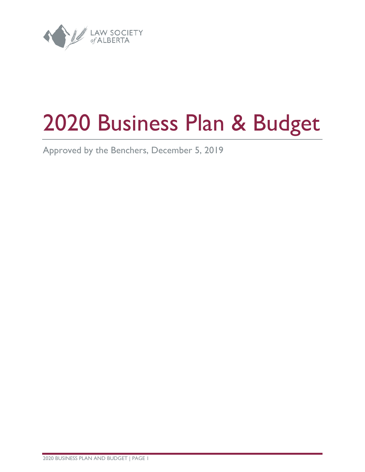

# 2020 Business Plan & Budget

Approved by the Benchers, December 5, 2019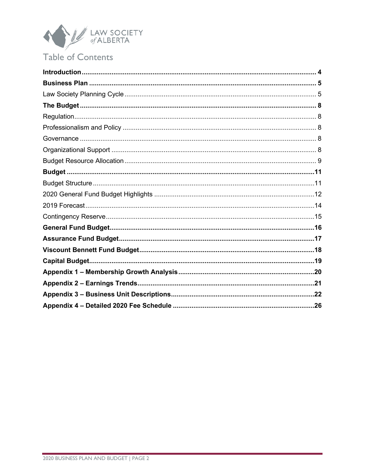

# Table of Contents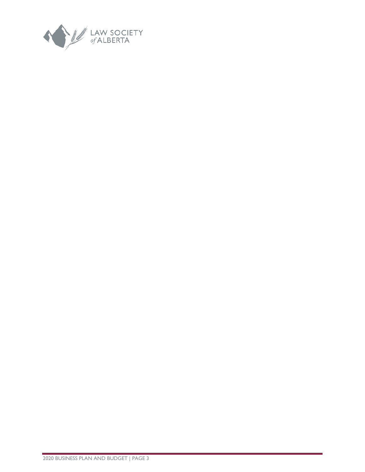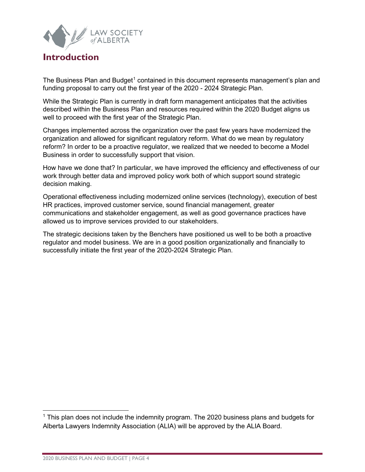

## <span id="page-3-0"></span>**Introduction**

The Business Plan and Budget<sup>[1](#page-3-1)</sup> contained in this document represents management's plan and funding proposal to carry out the first year of the 2020 - 2024 Strategic Plan.

While the Strategic Plan is currently in draft form management anticipates that the activities described within the Business Plan and resources required within the 2020 Budget aligns us well to proceed with the first year of the Strategic Plan.

Changes implemented across the organization over the past few years have modernized the organization and allowed for significant regulatory reform. What do we mean by regulatory reform? In order to be a proactive regulator, we realized that we needed to become a Model Business in order to successfully support that vision.

How have we done that? In particular, we have improved the efficiency and effectiveness of our work through better data and improved policy work both of which support sound strategic decision making.

Operational effectiveness including modernized online services (technology), execution of best HR practices, improved customer service, sound financial management, greater communications and stakeholder engagement, as well as good governance practices have allowed us to improve services provided to our stakeholders.

The strategic decisions taken by the Benchers have positioned us well to be both a proactive regulator and model business. We are in a good position organizationally and financially to successfully initiate the first year of the 2020-2024 Strategic Plan.

<span id="page-3-1"></span> $1$  This plan does not include the indemnity program. The 2020 business plans and budgets for Alberta Lawyers Indemnity Association (ALIA) will be approved by the ALIA Board.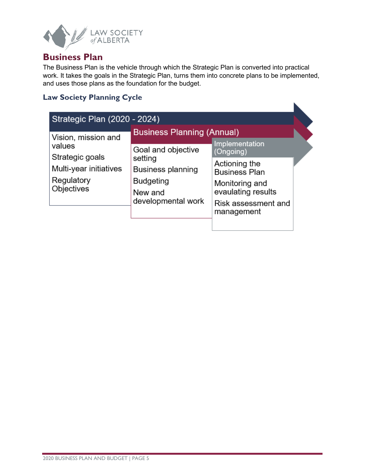

## <span id="page-4-0"></span>**Business Plan**

The Business Plan is the vehicle through which the Strategic Plan is converted into practical work. It takes the goals in the Strategic Plan, turns them into concrete plans to be implemented, and uses those plans as the foundation for the budget.

N

#### <span id="page-4-1"></span>**Law Society Planning Cycle**

| Strategic Plan (2020 - 2024)                                          |                                                                                                         |                                                                                                                                 |  |  |  |  |  |  |
|-----------------------------------------------------------------------|---------------------------------------------------------------------------------------------------------|---------------------------------------------------------------------------------------------------------------------------------|--|--|--|--|--|--|
| Vision, mission and<br>values                                         | <b>Business Planning (Annual)</b><br>Implementation                                                     |                                                                                                                                 |  |  |  |  |  |  |
| Strategic goals<br>Multi-year initiatives<br>Regulatory<br>Objectives | Goal and objective<br>setting<br>Business planning<br><b>Budgeting</b><br>New and<br>developmental work | (Ongoing)<br>Actioning the<br><b>Business Plan</b><br>Monitoring and<br>evaulating results<br>Risk assessment and<br>management |  |  |  |  |  |  |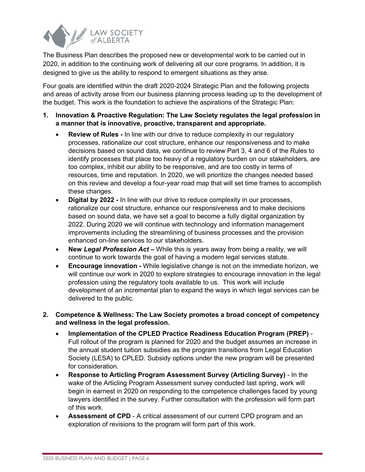

The Business Plan describes the proposed new or developmental work to be carried out in 2020, in addition to the continuing work of delivering all our core programs. In addition, it is designed to give us the ability to respond to emergent situations as they arise.

Four goals are identified within the draft 2020-2024 Strategic Plan and the following projects and areas of activity arose from our business planning process leading up to the development of the budget. This work is the foundation to achieve the aspirations of the Strategic Plan:

- **1. Innovation & Proactive Regulation: The Law Society regulates the legal profession in a manner that is innovative, proactive, transparent and appropriate.**
	- **Review of Rules -** In line with our drive to reduce complexity in our regulatory processes, rationalize our cost structure, enhance our responsiveness and to make decisions based on sound data, we continue to review Part 3, 4 and 6 of the Rules to identify processes that place too heavy of a regulatory burden on our stakeholders, are too complex, inhibit our ability to be responsive, and are too costly in terms of resources, time and reputation. In 2020, we will prioritize the changes needed based on this review and develop a four-year road map that will set time frames to accomplish these changes.
	- **Digital by 2022 -** In line with our drive to reduce complexity in our processes, rationalize our cost structure, enhance our responsiveness and to make decisions based on sound data, we have set a goal to become a fully digital organization by 2022. During 2020 we will continue with technology and information management improvements including the streamlining of business processes and the provision enhanced on-line services to our stakeholders.
	- **New** *Legal Profession Act* **–** While this is years away from being a reality, we will continue to work towards the goal of having a modern legal services statute.
	- **Encourage innovation -** While legislative change is not on the immediate horizon, we will continue our work in 2020 to explore strategies to encourage innovation in the legal profession using the regulatory tools available to us. This work will include development of an incremental plan to expand the ways in which legal services can be delivered to the public.
- **2. Competence & Wellness: The Law Society promotes a broad concept of competency and wellness in the legal profession.**
	- **Implementation of the CPLED Practice Readiness Education Program (PREP)** Full rollout of the program is planned for 2020 and the budget assumes an increase in the annual student tuition subsidies as the program transitions from Legal Education Society (LESA) to CPLED. Subsidy options under the new program will be presented for consideration.
	- **Response to Articling Program Assessment Survey (Articling Survey)** In the wake of the Articling Program Assessment survey conducted last spring, work will begin in earnest in 2020 on responding to the competence challenges faced by young lawyers identified in the survey. Further consultation with the profession will form part of this work.
	- **Assessment of CPD** A critical assessment of our current CPD program and an exploration of revisions to the program will form part of this work.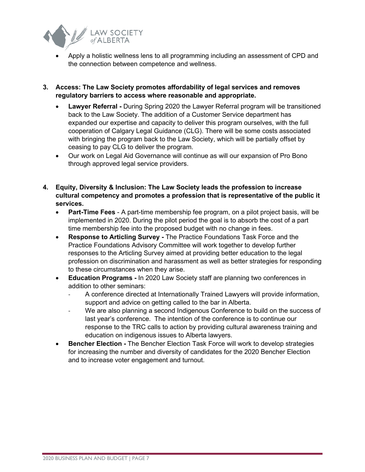

- Apply a holistic wellness lens to all programming including an assessment of CPD and the connection between competence and wellness.
- **3. Access: The Law Society promotes affordability of legal services and removes regulatory barriers to access where reasonable and appropriate.**
	- **Lawyer Referral -** During Spring 2020 the Lawyer Referral program will be transitioned back to the Law Society. The addition of a Customer Service department has expanded our expertise and capacity to deliver this program ourselves, with the full cooperation of Calgary Legal Guidance (CLG). There will be some costs associated with bringing the program back to the Law Society, which will be partially offset by ceasing to pay CLG to deliver the program.
	- Our work on Legal Aid Governance will continue as will our expansion of Pro Bono through approved legal service providers.
- **4. Equity, Diversity & Inclusion: The Law Society leads the profession to increase cultural competency and promotes a profession that is representative of the public it services.**
	- **Part-Time Fees**  A part-time membership fee program, on a pilot project basis, will be implemented in 2020. During the pilot period the goal is to absorb the cost of a part time membership fee into the proposed budget with no change in fees.
	- **Response to Articling Survey -** The Practice Foundations Task Force and the Practice Foundations Advisory Committee will work together to develop further responses to the Articling Survey aimed at providing better education to the legal profession on discrimination and harassment as well as better strategies for responding to these circumstances when they arise.
	- **Education Programs -** In 2020 Law Society staff are planning two conferences in addition to other seminars:
		- A conference directed at Internationally Trained Lawyers will provide information, support and advice on getting called to the bar in Alberta.
		- We are also planning a second Indigenous Conference to build on the success of last year's conference. The intention of the conference is to continue our response to the TRC calls to action by providing cultural awareness training and education on indigenous issues to Alberta lawyers.
	- **Bencher Election -** The Bencher Election Task Force will work to develop strategies for increasing the number and diversity of candidates for the 2020 Bencher Election and to increase voter engagement and turnout.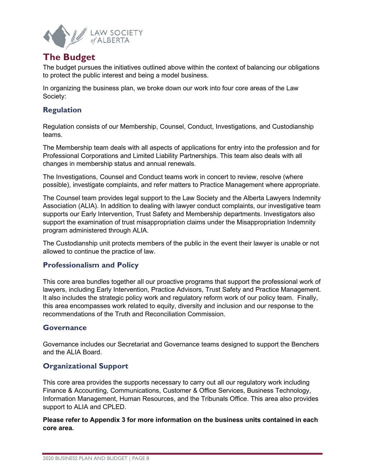

## <span id="page-7-0"></span>**The Budget**

The budget pursues the initiatives outlined above within the context of balancing our obligations to protect the public interest and being a model business.

In organizing the business plan, we broke down our work into four core areas of the Law Society:

#### <span id="page-7-1"></span>**Regulation**

Regulation consists of our Membership, Counsel, Conduct, Investigations, and Custodianship teams.

The Membership team deals with all aspects of applications for entry into the profession and for Professional Corporations and Limited Liability Partnerships. This team also deals with all changes in membership status and annual renewals.

The Investigations, Counsel and Conduct teams work in concert to review, resolve (where possible), investigate complaints, and refer matters to Practice Management where appropriate.

The Counsel team provides legal support to the Law Society and the Alberta Lawyers Indemnity Association (ALIA). In addition to dealing with lawyer conduct complaints, our investigative team supports our Early Intervention, Trust Safety and Membership departments. Investigators also support the examination of trust misappropriation claims under the Misappropriation Indemnity program administered through ALIA.

The Custodianship unit protects members of the public in the event their lawyer is unable or not allowed to continue the practice of law.

#### <span id="page-7-2"></span>**Professionalism and Policy**

This core area bundles together all our proactive programs that support the professional work of lawyers, including Early Intervention, Practice Advisors, Trust Safety and Practice Management. It also includes the strategic policy work and regulatory reform work of our policy team. Finally, this area encompasses work related to equity, diversity and inclusion and our response to the recommendations of the Truth and Reconciliation Commission.

#### <span id="page-7-3"></span>**Governance**

Governance includes our Secretariat and Governance teams designed to support the Benchers and the ALIA Board.

#### <span id="page-7-4"></span>**Organizational Support**

This core area provides the supports necessary to carry out all our regulatory work including Finance & Accounting, Communications, Customer & Office Services, Business Technology, Information Management, Human Resources, and the Tribunals Office. This area also provides support to ALIA and CPLED.

#### **Please refer to Appendix 3 for more information on the business units contained in each core area.**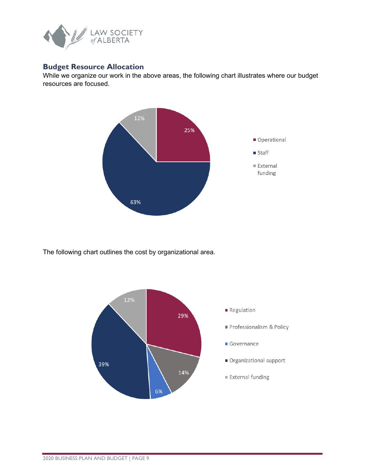

#### <span id="page-8-0"></span>**Budget Resource Allocation**

While we organize our work in the above areas, the following chart illustrates where our budget resources are focused.



The following chart outlines the cost by organizational area.

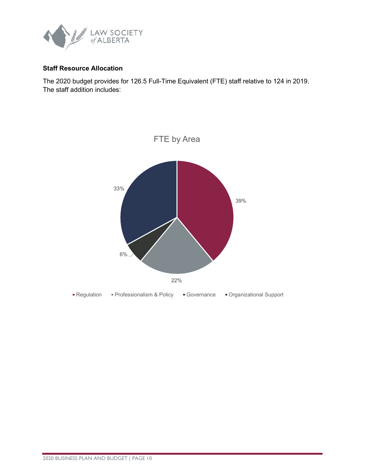

#### **Staff Resource Allocation**

The 2020 budget provides for 126.5 Full-Time Equivalent (FTE) staff relative to 124 in 2019. The staff addition includes:

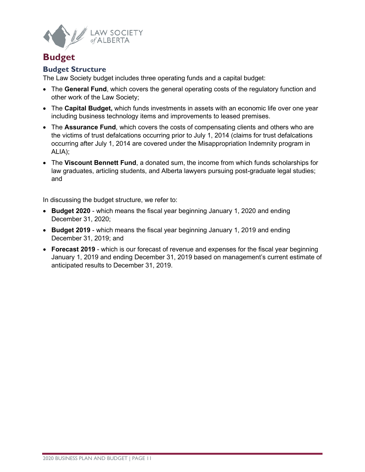

## <span id="page-10-0"></span>**Budget**

#### <span id="page-10-1"></span>**Budget Structure**

The Law Society budget includes three operating funds and a capital budget:

- The **General Fund**, which covers the general operating costs of the regulatory function and other work of the Law Society;
- The **Capital Budget,** which funds investments in assets with an economic life over one year including business technology items and improvements to leased premises.
- The **Assurance Fund**, which covers the costs of compensating clients and others who are the victims of trust defalcations occurring prior to July 1, 2014 (claims for trust defalcations occurring after July 1, 2014 are covered under the Misappropriation Indemnity program in ALIA);
- The **Viscount Bennett Fund**, a donated sum, the income from which funds scholarships for law graduates, articling students, and Alberta lawyers pursuing post-graduate legal studies; and

In discussing the budget structure, we refer to:

- **Budget 2020** which means the fiscal year beginning January 1, 2020 and ending December 31, 2020;
- **Budget 2019** which means the fiscal year beginning January 1, 2019 and ending December 31, 2019; and
- **Forecast 2019** which is our forecast of revenue and expenses for the fiscal year beginning January 1, 2019 and ending December 31, 2019 based on management's current estimate of anticipated results to December 31, 2019.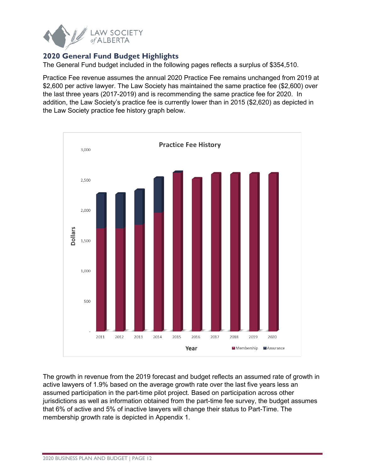

### <span id="page-11-0"></span>**2020 General Fund Budget Highlights**

The General Fund budget included in the following pages reflects a surplus of \$354,510.

Practice Fee revenue assumes the annual 2020 Practice Fee remains unchanged from 2019 at \$2,600 per active lawyer. The Law Society has maintained the same practice fee (\$2,600) over the last three years (2017-2019) and is recommending the same practice fee for 2020. In addition, the Law Society's practice fee is currently lower than in 2015 (\$2,620) as depicted in the Law Society practice fee history graph below.



The growth in revenue from the 2019 forecast and budget reflects an assumed rate of growth in active lawyers of 1.9% based on the average growth rate over the last five years less an assumed participation in the part-time pilot project. Based on participation across other jurisdictions as well as information obtained from the part-time fee survey, the budget assumes that 6% of active and 5% of inactive lawyers will change their status to Part-Time. The membership growth rate is depicted in Appendix 1.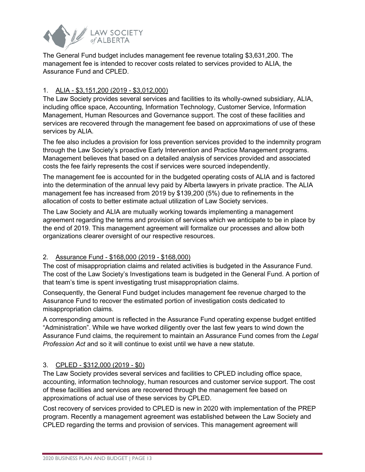

The General Fund budget includes management fee revenue totaling \$3,631,200. The management fee is intended to recover costs related to services provided to ALIA, the Assurance Fund and CPLED.

#### 1. ALIA - \$3,151,200 (2019 - \$3,012,000)

The Law Society provides several services and facilities to its wholly-owned subsidiary, ALIA, including office space, Accounting, Information Technology, Customer Service, Information Management, Human Resources and Governance support. The cost of these facilities and services are recovered through the management fee based on approximations of use of these services by ALIA.

The fee also includes a provision for loss prevention services provided to the indemnity program through the Law Society's proactive Early Intervention and Practice Management programs. Management believes that based on a detailed analysis of services provided and associated costs the fee fairly represents the cost if services were sourced independently.

The management fee is accounted for in the budgeted operating costs of ALIA and is factored into the determination of the annual levy paid by Alberta lawyers in private practice. The ALIA management fee has increased from 2019 by \$139,200 (5%) due to refinements in the allocation of costs to better estimate actual utilization of Law Society services.

The Law Society and ALIA are mutually working towards implementing a management agreement regarding the terms and provision of services which we anticipate to be in place by the end of 2019. This management agreement will formalize our processes and allow both organizations clearer oversight of our respective resources.

#### 2. Assurance Fund - \$168,000 (2019 - \$168,000)

The cost of misappropriation claims and related activities is budgeted in the Assurance Fund. The cost of the Law Society's Investigations team is budgeted in the General Fund. A portion of that team's time is spent investigating trust misappropriation claims.

Consequently, the General Fund budget includes management fee revenue charged to the Assurance Fund to recover the estimated portion of investigation costs dedicated to misappropriation claims.

A corresponding amount is reflected in the Assurance Fund operating expense budget entitled "Administration". While we have worked diligently over the last few years to wind down the Assurance Fund claims, the requirement to maintain an Assurance Fund comes from the *Legal Profession Act* and so it will continue to exist until we have a new statute.

#### 3. CPLED - \$312,000 (2019 - \$0)

The Law Society provides several services and facilities to CPLED including office space, accounting, information technology, human resources and customer service support. The cost of these facilities and services are recovered through the management fee based on approximations of actual use of these services by CPLED.

Cost recovery of services provided to CPLED is new in 2020 with implementation of the PREP program. Recently a management agreement was established between the Law Society and CPLED regarding the terms and provision of services. This management agreement will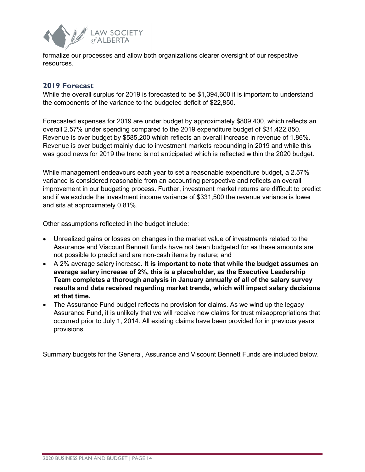

formalize our processes and allow both organizations clearer oversight of our respective resources.

#### <span id="page-13-0"></span>**2019 Forecast**

While the overall surplus for 2019 is forecasted to be \$1,394,600 it is important to understand the components of the variance to the budgeted deficit of \$22,850.

Forecasted expenses for 2019 are under budget by approximately \$809,400, which reflects an overall 2.57% under spending compared to the 2019 expenditure budget of \$31,422,850. Revenue is over budget by \$585,200 which reflects an overall increase in revenue of 1.86%. Revenue is over budget mainly due to investment markets rebounding in 2019 and while this was good news for 2019 the trend is not anticipated which is reflected within the 2020 budget.

While management endeavours each year to set a reasonable expenditure budget, a 2.57% variance is considered reasonable from an accounting perspective and reflects an overall improvement in our budgeting process. Further, investment market returns are difficult to predict and if we exclude the investment income variance of \$331,500 the revenue variance is lower and sits at approximately 0.81%.

Other assumptions reflected in the budget include:

- Unrealized gains or losses on changes in the market value of investments related to the Assurance and Viscount Bennett funds have not been budgeted for as these amounts are not possible to predict and are non-cash items by nature; and
- A 2% average salary increase. **It is important to note that while the budget assumes an average salary increase of 2%, this is a placeholder, as the Executive Leadership Team completes a thorough analysis in January annually of all of the salary survey results and data received regarding market trends, which will impact salary decisions at that time.**
- The Assurance Fund budget reflects no provision for claims. As we wind up the legacy Assurance Fund, it is unlikely that we will receive new claims for trust misappropriations that occurred prior to July 1, 2014. All existing claims have been provided for in previous years' provisions.

Summary budgets for the General, Assurance and Viscount Bennett Funds are included below.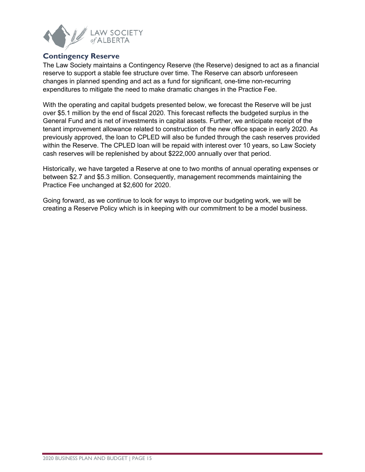

#### <span id="page-14-0"></span>**Contingency Reserve**

The Law Society maintains a Contingency Reserve (the Reserve) designed to act as a financial reserve to support a stable fee structure over time. The Reserve can absorb unforeseen changes in planned spending and act as a fund for significant, one-time non-recurring expenditures to mitigate the need to make dramatic changes in the Practice Fee.

With the operating and capital budgets presented below, we forecast the Reserve will be just over \$5.1 million by the end of fiscal 2020. This forecast reflects the budgeted surplus in the General Fund and is net of investments in capital assets. Further, we anticipate receipt of the tenant improvement allowance related to construction of the new office space in early 2020. As previously approved, the loan to CPLED will also be funded through the cash reserves provided within the Reserve. The CPLED loan will be repaid with interest over 10 years, so Law Society cash reserves will be replenished by about \$222,000 annually over that period.

Historically, we have targeted a Reserve at one to two months of annual operating expenses or between \$2.7 and \$5.3 million. Consequently, management recommends maintaining the Practice Fee unchanged at \$2,600 for 2020.

Going forward, as we continue to look for ways to improve our budgeting work, we will be creating a Reserve Policy which is in keeping with our commitment to be a model business.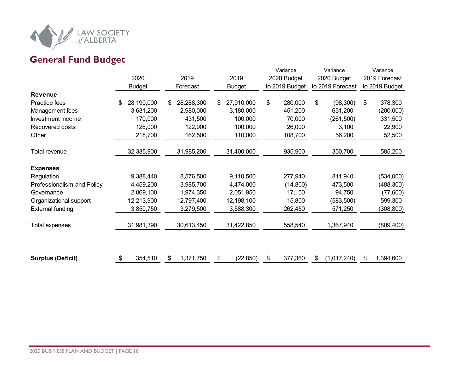

# **General Fund Budget**

<span id="page-15-0"></span>

|                            |                  |                  |                  | Variance       | Variance          | Variance        |
|----------------------------|------------------|------------------|------------------|----------------|-------------------|-----------------|
|                            | 2020             | 2019             | 2019             | 2020 Budget    | 2020 Budget       | 2019 Forecast   |
|                            | <b>Budget</b>    | Forecast         | <b>Budget</b>    | to 2019 Budget | to 2019 Forecast  | to 2019 Budget  |
| <b>Revenue</b>             |                  |                  |                  |                |                   |                 |
| Practice fees              | 28,190,000<br>\$ | 28,288,300<br>\$ | 27,910,000<br>\$ | \$<br>280,000  | \$<br>(98, 300)   | \$<br>378,300   |
| Management fees            | 3,631,200        | 2,980,000        | 3,180,000        | 451,200        | 651,200           | (200,000)       |
| Investment income          | 170,000          | 431,500          | 100,000          | 70,000         | (261, 500)        | 331,500         |
| Recovered costs            | 126,000          | 122,900          | 100,000          | 26,000         | 3,100             | 22,900          |
| Other                      | 218,700          | 162,500          | 110,000          | 108,700        | 56,200            | 52,500          |
|                            |                  |                  |                  |                |                   |                 |
| Total revenue              | 32,335,900       | 31,985,200       | 31,400,000       | 935,900        | 350,700           | 585,200         |
|                            |                  |                  |                  |                |                   |                 |
| <b>Expenses</b>            |                  |                  |                  |                |                   |                 |
| Regulation                 | 9,388,440        | 8,576,500        | 9,110,500        | 277,940        | 811,940           | (534,000)       |
| Professionalism and Policy | 4,459,200        | 3,985,700        | 4,474,000        | (14,800)       | 473,500           | (488, 300)      |
| Governance                 | 2,069,100        | 1,974,350        | 2,051,950        | 17,150         | 94,750            | (77,600)        |
| Organizational support     | 12,213,900       | 12,797,400       | 12,198,100       | 15,800         | (583, 500)        | 599,300         |
| External funding           | 3,850,750        | 3,279,500        | 3,588,300        | 262,450        | 571,250           | (308, 800)      |
|                            |                  |                  |                  |                |                   |                 |
| Total expenses             | 31,981,390       | 30,613,450       | 31,422,850       | 558,540        | 1,367,940         | (809, 400)      |
|                            |                  |                  |                  |                |                   |                 |
|                            |                  |                  |                  |                |                   |                 |
|                            |                  |                  |                  |                |                   |                 |
| <b>Surplus (Deficit)</b>   | 354,510<br>\$    | 1,371,750<br>\$  | (22, 850)<br>\$  | 377,360<br>\$  | (1,017,240)<br>\$ | 1,394,600<br>\$ |
|                            |                  |                  |                  |                |                   |                 |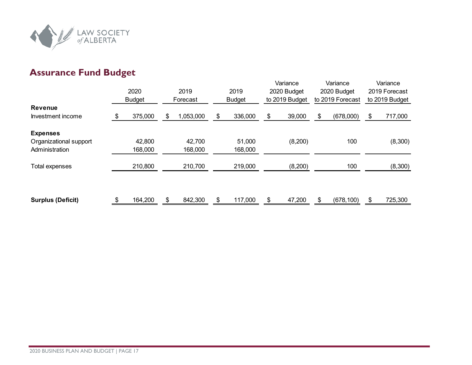

# **Assurance Fund Budget**

<span id="page-16-0"></span>

|                          |               |                 |               | Variance       | Variance         | Variance       |
|--------------------------|---------------|-----------------|---------------|----------------|------------------|----------------|
|                          | 2020          | 2019            | 2019          | 2020 Budget    | 2020 Budget      | 2019 Forecast  |
|                          | <b>Budget</b> | Forecast        | <b>Budget</b> | to 2019 Budget | to 2019 Forecast | to 2019 Budget |
| <b>Revenue</b>           |               |                 |               |                |                  |                |
| Investment income        | \$<br>375,000 | \$<br>1,053,000 | \$<br>336,000 | \$<br>39,000   | \$<br>(678,000)  | \$<br>717,000  |
| <b>Expenses</b>          |               |                 |               |                |                  |                |
| Organizational support   | 42,800        | 42,700          | 51,000        | (8,200)        | 100              | (8,300)        |
| Administration           | 168,000       | 168,000         | 168,000       |                |                  |                |
| Total expenses           | 210,800       | 210,700         | 219,000       | (8,200)        | 100              | (8,300)        |
|                          |               |                 |               |                |                  |                |
| <b>Surplus (Deficit)</b> | \$<br>164,200 | \$<br>842,300   | \$<br>117,000 | \$<br>47,200   | \$<br>(678, 100) | \$<br>725,300  |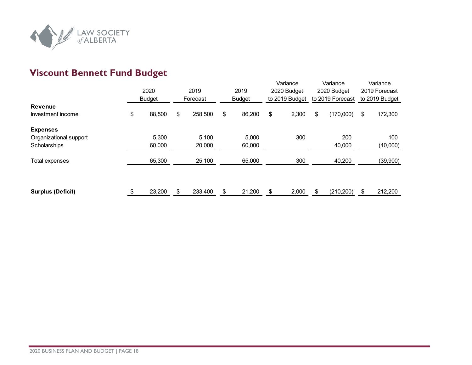

# **Viscount Bennett Fund Budget**

<span id="page-17-0"></span>

|                          |               |               |               | Variance       | Variance         |    | Variance       |
|--------------------------|---------------|---------------|---------------|----------------|------------------|----|----------------|
|                          | 2020          | 2019          | 2019          | 2020 Budget    | 2020 Budget      |    | 2019 Forecast  |
|                          | <b>Budget</b> | Forecast      | <b>Budget</b> | to 2019 Budget | to 2019 Forecast |    | to 2019 Budget |
| <b>Revenue</b>           |               |               |               |                |                  |    |                |
| Investment income        | \$<br>88,500  | \$<br>258,500 | \$<br>86,200  | \$<br>2,300    | \$<br>(170,000)  | \$ | 172,300        |
| <b>Expenses</b>          |               |               |               |                |                  |    |                |
| Organizational support   | 5,300         | 5,100         | 5,000         | 300            | 200              |    | 100            |
| Scholarships             | 60,000        | 20,000        | 60,000        |                | 40,000           |    | (40,000)       |
| Total expenses           | 65,300        | 25,100        | 65,000        | 300            | 40,200           |    | (39,900)       |
|                          |               |               |               |                |                  |    |                |
| <b>Surplus (Deficit)</b> | \$<br>23,200  | \$<br>233,400 | \$<br>21,200  | \$<br>2,000    | \$<br>(210, 200) | S  | 212,200        |
|                          |               |               |               |                |                  |    |                |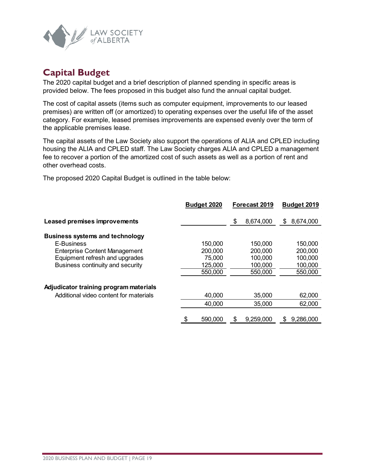

## <span id="page-18-0"></span>**Capital Budget**

The 2020 capital budget and a brief description of planned spending in specific areas is provided below. The fees proposed in this budget also fund the annual capital budget.

The cost of capital assets (items such as computer equipment, improvements to our leased premises) are written off (or amortized) to operating expenses over the useful life of the asset category. For example, leased premises improvements are expensed evenly over the term of the applicable premises lease.

The capital assets of the Law Society also support the operations of ALIA and CPLED including housing the ALIA and CPLED staff. The Law Society charges ALIA and CPLED a management fee to recover a portion of the amortized cost of such assets as well as a portion of rent and other overhead costs.

The proposed 2020 Capital Budget is outlined in the table below:

|                                        | Budget 2020   |    | Forecast 2019 |    | Budget 2019 |
|----------------------------------------|---------------|----|---------------|----|-------------|
| <b>Leased premises improvements</b>    |               | \$ | 8,674,000     | \$ | 8,674,000   |
| <b>Business systems and technology</b> |               |    |               |    |             |
| E-Business                             | 150,000       |    | 150,000       |    | 150,000     |
| <b>Enterprise Content Management</b>   | 200,000       |    | 200,000       |    | 200,000     |
| Equipment refresh and upgrades         | 75,000        |    | 100,000       |    | 100,000     |
| Business continuity and security       | 125,000       |    | 100,000       |    | 100,000     |
|                                        | 550,000       |    | 550,000       |    | 550,000     |
| Adjudicator training program materials |               |    |               |    |             |
| Additional video content for materials | 40,000        |    | 35,000        |    | 62,000      |
|                                        | 40,000        |    | 35,000        |    | 62,000      |
|                                        | \$<br>590,000 | S  | 9,259,000     | S  | 9,286,000   |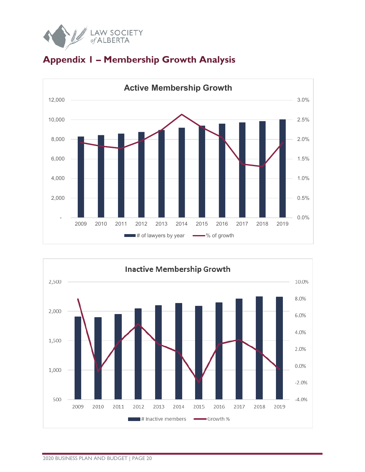



## <span id="page-19-0"></span>**Appendix 1 – Membership Growth Analysis**

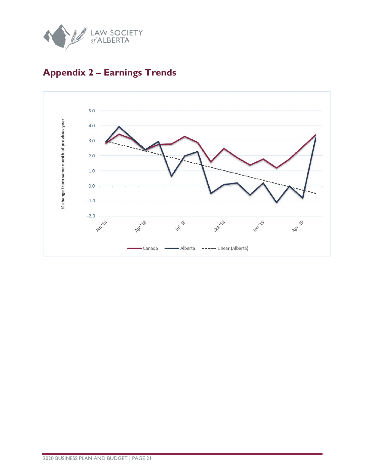

# <span id="page-20-0"></span>**Appendix 2 – Earnings Trends**

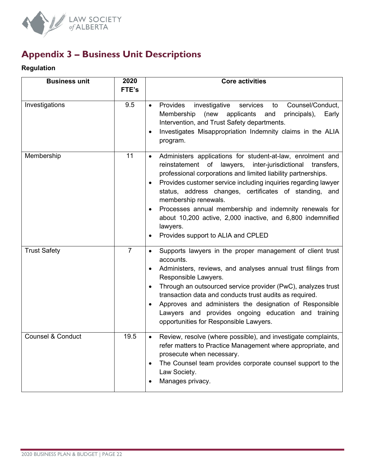

# <span id="page-21-0"></span>**Appendix 3 – Business Unit Descriptions**

## **Regulation**

| <b>Business unit</b>         | 2020<br>FTE's  | <b>Core activities</b>                                                                                                                                                                                                                                                                                                                                                                                                                                                                                                                                                           |
|------------------------------|----------------|----------------------------------------------------------------------------------------------------------------------------------------------------------------------------------------------------------------------------------------------------------------------------------------------------------------------------------------------------------------------------------------------------------------------------------------------------------------------------------------------------------------------------------------------------------------------------------|
| Investigations               | 9.5            | Provides<br>investigative<br>services<br>Counsel/Conduct,<br>to<br>$\bullet$<br>Membership<br>(new<br>applicants<br>principals),<br>and<br>Early<br>Intervention, and Trust Safety departments.<br>Investigates Misappropriation Indemnity claims in the ALIA<br>$\bullet$<br>program.                                                                                                                                                                                                                                                                                           |
| Membership                   | 11             | Administers applications for student-at-law, enrolment and<br>$\bullet$<br>reinstatement of lawyers,<br>inter-jurisdictional<br>transfers,<br>professional corporations and limited liability partnerships.<br>Provides customer service including inquiries regarding lawyer<br>$\bullet$<br>status, address changes, certificates of standing, and<br>membership renewals.<br>Processes annual membership and indemnity renewals for<br>$\bullet$<br>about 10,200 active, 2,000 inactive, and 6,800 indemnified<br>lawyers.<br>Provides support to ALIA and CPLED<br>$\bullet$ |
| <b>Trust Safety</b>          | $\overline{7}$ | Supports lawyers in the proper management of client trust<br>$\bullet$<br>accounts.<br>Administers, reviews, and analyses annual trust filings from<br>$\bullet$<br>Responsible Lawyers.<br>Through an outsourced service provider (PwC), analyzes trust<br>$\bullet$<br>transaction data and conducts trust audits as required.<br>Approves and administers the designation of Responsible<br>Lawyers and provides ongoing education and training<br>opportunities for Responsible Lawyers.                                                                                     |
| <b>Counsel &amp; Conduct</b> | 19.5           | Review, resolve (where possible), and investigate complaints,<br>$\bullet$<br>refer matters to Practice Management where appropriate, and<br>prosecute when necessary.<br>The Counsel team provides corporate counsel support to the<br>Law Society.<br>Manages privacy.                                                                                                                                                                                                                                                                                                         |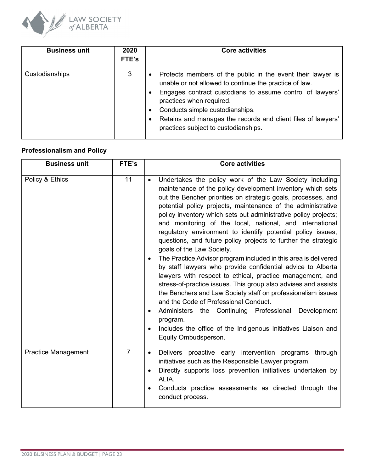

| <b>Business unit</b> | 2020<br>FTE's | <b>Core activities</b>                                                                                                                                                                                                                                                                                                                                    |
|----------------------|---------------|-----------------------------------------------------------------------------------------------------------------------------------------------------------------------------------------------------------------------------------------------------------------------------------------------------------------------------------------------------------|
| Custodianships       |               | Protects members of the public in the event their lawyer is<br>unable or not allowed to continue the practice of law.<br>Engages contract custodians to assume control of lawyers'<br>practices when required.<br>Conducts simple custodianships.<br>Retains and manages the records and client files of lawyers'<br>practices subject to custodianships. |

## **Professionalism and Policy**

| <b>Business unit</b>       | FTE's          | <b>Core activities</b>                                                                                                                                                                                                                                                                                                                                                                                                                                                                                                                                                                                                                                                                                                                                                                                                                                                                                                                                                                                                                                                                                 |
|----------------------------|----------------|--------------------------------------------------------------------------------------------------------------------------------------------------------------------------------------------------------------------------------------------------------------------------------------------------------------------------------------------------------------------------------------------------------------------------------------------------------------------------------------------------------------------------------------------------------------------------------------------------------------------------------------------------------------------------------------------------------------------------------------------------------------------------------------------------------------------------------------------------------------------------------------------------------------------------------------------------------------------------------------------------------------------------------------------------------------------------------------------------------|
| Policy & Ethics            | 11             | Undertakes the policy work of the Law Society including<br>$\bullet$<br>maintenance of the policy development inventory which sets<br>out the Bencher priorities on strategic goals, processes, and<br>potential policy projects, maintenance of the administrative<br>policy inventory which sets out administrative policy projects;<br>and monitoring of the local, national, and international<br>regulatory environment to identify potential policy issues,<br>questions, and future policy projects to further the strategic<br>goals of the Law Society.<br>The Practice Advisor program included in this area is delivered<br>by staff lawyers who provide confidential advice to Alberta<br>lawyers with respect to ethical, practice management, and<br>stress-of-practice issues. This group also advises and assists<br>the Benchers and Law Society staff on professionalism issues<br>and the Code of Professional Conduct.<br>Administers the Continuing Professional Development<br>program.<br>Includes the office of the Indigenous Initiatives Liaison and<br>Equity Ombudsperson. |
| <b>Practice Management</b> | $\overline{7}$ | Delivers proactive early intervention programs through<br>$\bullet$<br>initiatives such as the Responsible Lawyer program.<br>Directly supports loss prevention initiatives undertaken by<br>$\bullet$<br>ALIA.<br>Conducts practice assessments as directed through the<br>conduct process.                                                                                                                                                                                                                                                                                                                                                                                                                                                                                                                                                                                                                                                                                                                                                                                                           |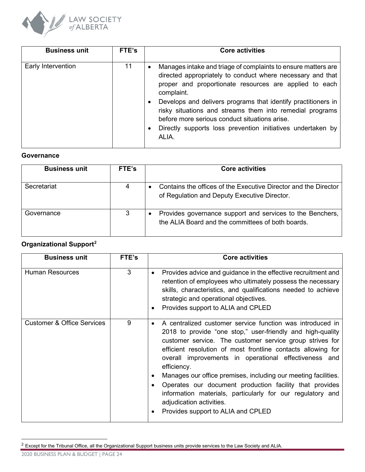

| <b>Business unit</b> | FTE's | <b>Core activities</b>                                                                                                                                                                                                                                                                                                                                                                                                                                    |
|----------------------|-------|-----------------------------------------------------------------------------------------------------------------------------------------------------------------------------------------------------------------------------------------------------------------------------------------------------------------------------------------------------------------------------------------------------------------------------------------------------------|
| Early Intervention   | 11    | Manages intake and triage of complaints to ensure matters are<br>directed appropriately to conduct where necessary and that<br>proper and proportionate resources are applied to each<br>complaint.<br>Develops and delivers programs that identify practitioners in<br>risky situations and streams them into remedial programs<br>before more serious conduct situations arise.<br>Directly supports loss prevention initiatives undertaken by<br>ALIA. |

#### **Governance**

| <b>Business unit</b> | <b>FTE's</b> | <b>Core activities</b>                                                                                          |
|----------------------|--------------|-----------------------------------------------------------------------------------------------------------------|
| Secretariat          | 4            | Contains the offices of the Executive Director and the Director<br>of Regulation and Deputy Executive Director. |
| Governance           |              | Provides governance support and services to the Benchers,<br>the ALIA Board and the committees of both boards.  |

## **Organizational Support[2](#page-23-0)**

| <b>Business unit</b>                  | FTE's | <b>Core activities</b>                                                                                                                                                                                                                                                                                                                                                                                                                                                                                                                                                                                                  |
|---------------------------------------|-------|-------------------------------------------------------------------------------------------------------------------------------------------------------------------------------------------------------------------------------------------------------------------------------------------------------------------------------------------------------------------------------------------------------------------------------------------------------------------------------------------------------------------------------------------------------------------------------------------------------------------------|
| <b>Human Resources</b>                | 3     | Provides advice and guidance in the effective recruitment and<br>٠<br>retention of employees who ultimately possess the necessary<br>skills, characteristics, and qualifications needed to achieve<br>strategic and operational objectives.<br>Provides support to ALIA and CPLED<br>$\bullet$                                                                                                                                                                                                                                                                                                                          |
| <b>Customer &amp; Office Services</b> | 9     | A centralized customer service function was introduced in<br>$\bullet$<br>2018 to provide "one stop," user-friendly and high-quality<br>customer service. The customer service group strives for<br>efficient resolution of most frontline contacts allowing for<br>overall improvements in operational effectiveness and<br>efficiency.<br>Manages our office premises, including our meeting facilities.<br>$\bullet$<br>Operates our document production facility that provides<br>information materials, particularly for our regulatory and<br>adjudication activities.<br>Provides support to ALIA and CPLED<br>٠ |

<span id="page-23-0"></span><sup>&</sup>lt;sup>2</sup> Except for the Tribunal Office, all the Organizational Support business units provide services to the Law Society and ALIA.

2020 BUSINESS PLAN & BUDGET | PAGE 24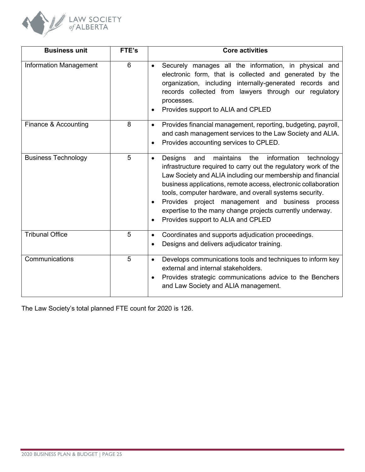

| <b>Business unit</b>          | FTE's | <b>Core activities</b>                                                                                                                                                                                                                                                                                                                                                                                                                                                                                                       |  |  |
|-------------------------------|-------|------------------------------------------------------------------------------------------------------------------------------------------------------------------------------------------------------------------------------------------------------------------------------------------------------------------------------------------------------------------------------------------------------------------------------------------------------------------------------------------------------------------------------|--|--|
| <b>Information Management</b> | 6     | Securely manages all the information, in physical and<br>$\bullet$<br>electronic form, that is collected and generated by the<br>organization, including internally-generated records and<br>records collected from lawyers through our regulatory<br>processes.<br>Provides support to ALIA and CPLED<br>$\bullet$                                                                                                                                                                                                          |  |  |
| Finance & Accounting          | 8     | Provides financial management, reporting, budgeting, payroll,<br>$\bullet$<br>and cash management services to the Law Society and ALIA.<br>Provides accounting services to CPLED.<br>$\bullet$                                                                                                                                                                                                                                                                                                                               |  |  |
| <b>Business Technology</b>    | 5     | maintains<br>information<br>Designs<br>the<br>technology<br>and<br>$\bullet$<br>infrastructure required to carry out the regulatory work of the<br>Law Society and ALIA including our membership and financial<br>business applications, remote access, electronic collaboration<br>tools, computer hardware, and overall systems security.<br>Provides project management and business process<br>$\bullet$<br>expertise to the many change projects currently underway.<br>Provides support to ALIA and CPLED<br>$\bullet$ |  |  |
| <b>Tribunal Office</b>        | 5     | Coordinates and supports adjudication proceedings.<br>$\bullet$<br>Designs and delivers adjudicator training.<br>$\bullet$                                                                                                                                                                                                                                                                                                                                                                                                   |  |  |
| Communications                | 5     | Develops communications tools and techniques to inform key<br>$\bullet$<br>external and internal stakeholders.<br>Provides strategic communications advice to the Benchers<br>$\bullet$<br>and Law Society and ALIA management.                                                                                                                                                                                                                                                                                              |  |  |

The Law Society's total planned FTE count for 2020 is 126.